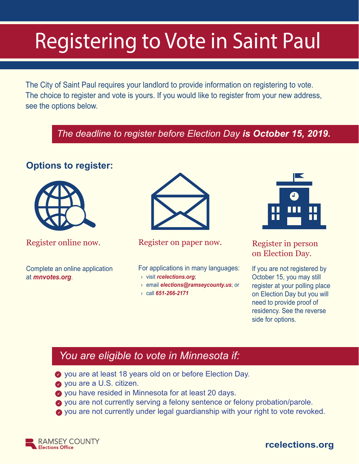# Registering to Vote in Saint Paul

The City of Saint Paul requires your landlord to provide information on registering to vote. The choice to register and vote is yours. If you would like to register from your new address, see the options below.

# *The deadline to register before Election Day is October 15, 2019.*

# **Options to register:**



Complete an online application at *mnvotes.org*.



#### Register online now. Register on paper now. Register in person

For applications in many languages:

- › visit *rcelections.org*;
- › email *elections@ramseycounty.us*; or
- › call *651-266-2171*



on Election Day.

If you are not registered by October 15, you may still register at your polling place on Election Day but you will need to provide proof of residency. See the reverse side for options.

# *You are eligible to vote in Minnesota if:*

- you are at least 18 years old on or before Election Day.
- **vou are a U.S. citizen.**
- ◆ you have resided in Minnesota for at least 20 days.
- ◆ you are not currently serving a felony sentence or felony probation/parole.
- you are not currently under legal guardianship with your right to vote revoked.



# **rcelections.org**